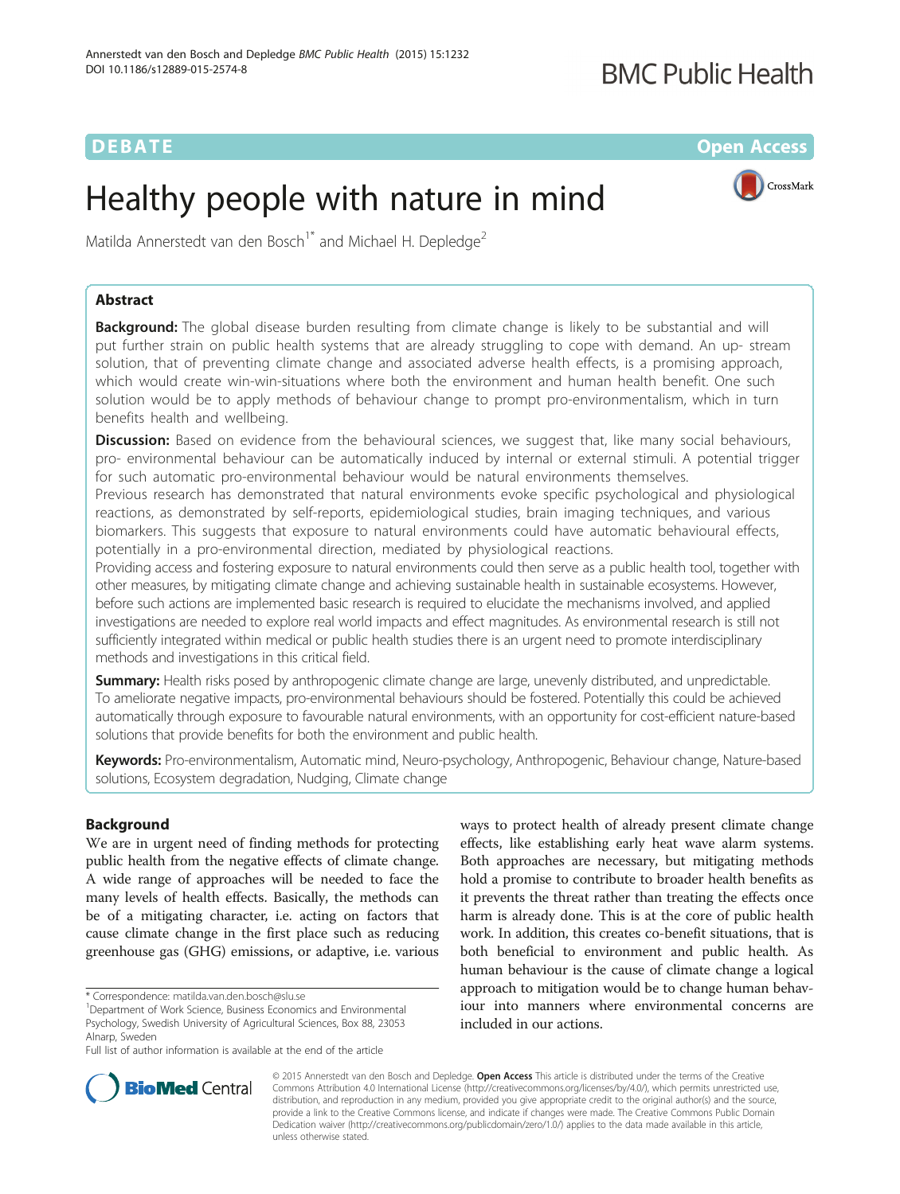# **BMC Public Health**

**DEBATE CONSIDERED EXECUTE OF THE OPEN ACCESS** 

# Healthy people with nature in mind



Matilda Annerstedt van den Bosch<sup>1\*</sup> and Michael H. Depledge<sup>2</sup>

# Abstract

Background: The global disease burden resulting from climate change is likely to be substantial and will put further strain on public health systems that are already struggling to cope with demand. An up- stream solution, that of preventing climate change and associated adverse health effects, is a promising approach, which would create win-win-situations where both the environment and human health benefit. One such solution would be to apply methods of behaviour change to prompt pro-environmentalism, which in turn benefits health and wellbeing.

**Discussion:** Based on evidence from the behavioural sciences, we suggest that, like many social behaviours, pro- environmental behaviour can be automatically induced by internal or external stimuli. A potential trigger for such automatic pro-environmental behaviour would be natural environments themselves.

Previous research has demonstrated that natural environments evoke specific psychological and physiological reactions, as demonstrated by self-reports, epidemiological studies, brain imaging techniques, and various biomarkers. This suggests that exposure to natural environments could have automatic behavioural effects, potentially in a pro-environmental direction, mediated by physiological reactions.

Providing access and fostering exposure to natural environments could then serve as a public health tool, together with other measures, by mitigating climate change and achieving sustainable health in sustainable ecosystems. However, before such actions are implemented basic research is required to elucidate the mechanisms involved, and applied investigations are needed to explore real world impacts and effect magnitudes. As environmental research is still not sufficiently integrated within medical or public health studies there is an urgent need to promote interdisciplinary methods and investigations in this critical field.

Summary: Health risks posed by anthropogenic climate change are large, unevenly distributed, and unpredictable. To ameliorate negative impacts, pro-environmental behaviours should be fostered. Potentially this could be achieved automatically through exposure to favourable natural environments, with an opportunity for cost-efficient nature-based solutions that provide benefits for both the environment and public health.

Keywords: Pro-environmentalism, Automatic mind, Neuro-psychology, Anthropogenic, Behaviour change, Nature-based solutions, Ecosystem degradation, Nudging, Climate change

# Background

We are in urgent need of finding methods for protecting public health from the negative effects of climate change. A wide range of approaches will be needed to face the many levels of health effects. Basically, the methods can be of a mitigating character, i.e. acting on factors that cause climate change in the first place such as reducing greenhouse gas (GHG) emissions, or adaptive, i.e. various

\* Correspondence: [matilda.van.den.bosch@slu.se](mailto:matilda.van.den.bosch@slu.se) <sup>1</sup>

ways to protect health of already present climate change effects, like establishing early heat wave alarm systems. Both approaches are necessary, but mitigating methods hold a promise to contribute to broader health benefits as it prevents the threat rather than treating the effects once harm is already done. This is at the core of public health work. In addition, this creates co-benefit situations, that is both beneficial to environment and public health. As human behaviour is the cause of climate change a logical approach to mitigation would be to change human behaviour into manners where environmental concerns are included in our actions.



© 2015 Annerstedt van den Bosch and Depledge. Open Access This article is distributed under the terms of the Creative Commons Attribution 4.0 International License [\(http://creativecommons.org/licenses/by/4.0/\)](http://creativecommons.org/licenses/by/4.0/), which permits unrestricted use, distribution, and reproduction in any medium, provided you give appropriate credit to the original author(s) and the source, provide a link to the Creative Commons license, and indicate if changes were made. The Creative Commons Public Domain Dedication waiver [\(http://creativecommons.org/publicdomain/zero/1.0/](http://creativecommons.org/publicdomain/zero/1.0/)) applies to the data made available in this article, unless otherwise stated.

<sup>&</sup>lt;sup>1</sup>Department of Work Science, Business Economics and Environmental Psychology, Swedish University of Agricultural Sciences, Box 88, 23053 Alnarp, Sweden

Full list of author information is available at the end of the article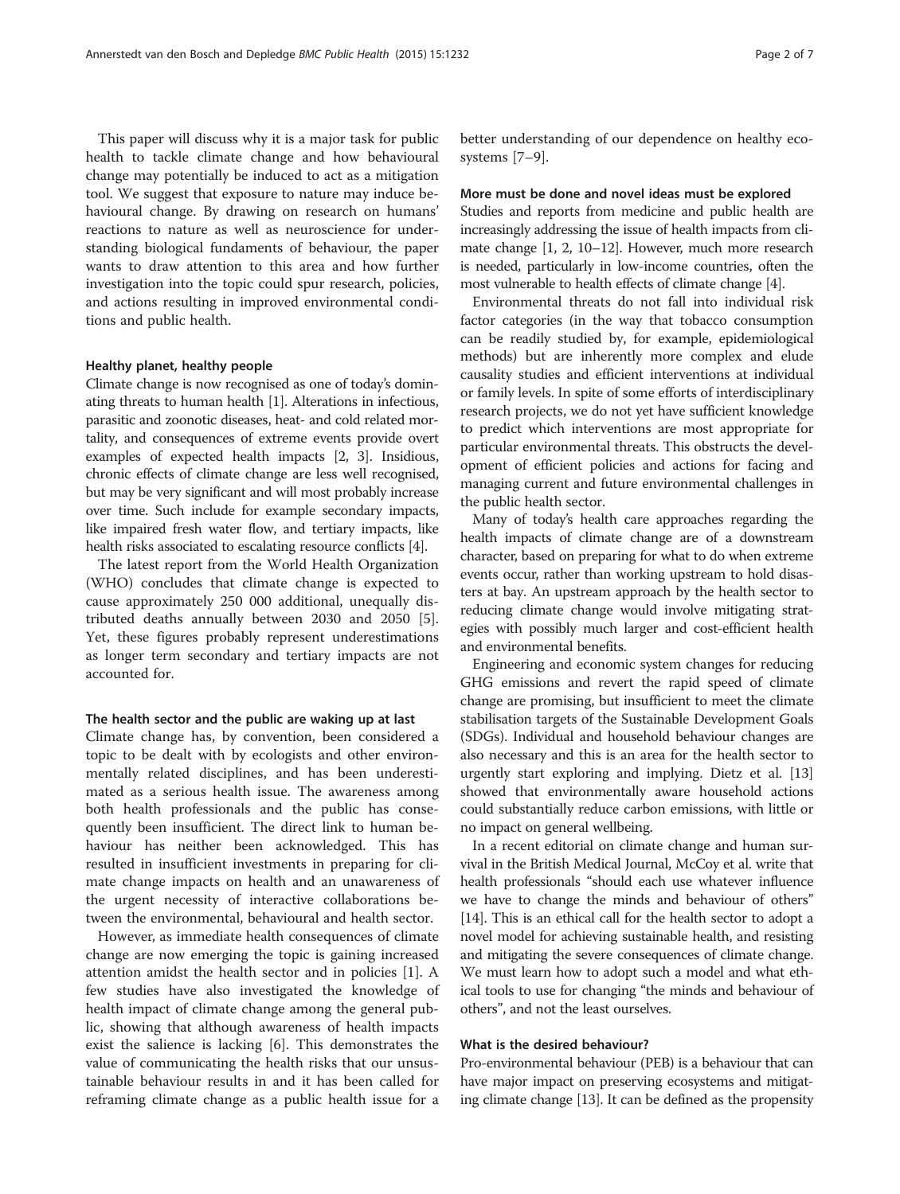This paper will discuss why it is a major task for public health to tackle climate change and how behavioural change may potentially be induced to act as a mitigation tool. We suggest that exposure to nature may induce behavioural change. By drawing on research on humans' reactions to nature as well as neuroscience for understanding biological fundaments of behaviour, the paper wants to draw attention to this area and how further investigation into the topic could spur research, policies, and actions resulting in improved environmental conditions and public health.

# Healthy planet, healthy people

Climate change is now recognised as one of today's dominating threats to human health [[1](#page-5-0)]. Alterations in infectious, parasitic and zoonotic diseases, heat- and cold related mortality, and consequences of extreme events provide overt examples of expected health impacts [\[2, 3](#page-5-0)]. Insidious, chronic effects of climate change are less well recognised, but may be very significant and will most probably increase over time. Such include for example secondary impacts, like impaired fresh water flow, and tertiary impacts, like health risks associated to escalating resource conflicts [\[4](#page-5-0)].

The latest report from the World Health Organization (WHO) concludes that climate change is expected to cause approximately 250 000 additional, unequally distributed deaths annually between 2030 and 2050 [\[5](#page-5-0)]. Yet, these figures probably represent underestimations as longer term secondary and tertiary impacts are not accounted for.

## The health sector and the public are waking up at last

Climate change has, by convention, been considered a topic to be dealt with by ecologists and other environmentally related disciplines, and has been underestimated as a serious health issue. The awareness among both health professionals and the public has consequently been insufficient. The direct link to human behaviour has neither been acknowledged. This has resulted in insufficient investments in preparing for climate change impacts on health and an unawareness of the urgent necessity of interactive collaborations between the environmental, behavioural and health sector.

However, as immediate health consequences of climate change are now emerging the topic is gaining increased attention amidst the health sector and in policies [[1\]](#page-5-0). A few studies have also investigated the knowledge of health impact of climate change among the general public, showing that although awareness of health impacts exist the salience is lacking [\[6](#page-5-0)]. This demonstrates the value of communicating the health risks that our unsustainable behaviour results in and it has been called for reframing climate change as a public health issue for a

better understanding of our dependence on healthy ecosystems [\[7](#page-5-0)–[9](#page-5-0)].

## More must be done and novel ideas must be explored

Studies and reports from medicine and public health are increasingly addressing the issue of health impacts from climate change [[1, 2, 10](#page-5-0)–[12\]](#page-5-0). However, much more research is needed, particularly in low-income countries, often the most vulnerable to health effects of climate change [\[4\]](#page-5-0).

Environmental threats do not fall into individual risk factor categories (in the way that tobacco consumption can be readily studied by, for example, epidemiological methods) but are inherently more complex and elude causality studies and efficient interventions at individual or family levels. In spite of some efforts of interdisciplinary research projects, we do not yet have sufficient knowledge to predict which interventions are most appropriate for particular environmental threats. This obstructs the development of efficient policies and actions for facing and managing current and future environmental challenges in the public health sector.

Many of today's health care approaches regarding the health impacts of climate change are of a downstream character, based on preparing for what to do when extreme events occur, rather than working upstream to hold disasters at bay. An upstream approach by the health sector to reducing climate change would involve mitigating strategies with possibly much larger and cost-efficient health and environmental benefits.

Engineering and economic system changes for reducing GHG emissions and revert the rapid speed of climate change are promising, but insufficient to meet the climate stabilisation targets of the Sustainable Development Goals (SDGs). Individual and household behaviour changes are also necessary and this is an area for the health sector to urgently start exploring and implying. Dietz et al. [[13](#page-5-0)] showed that environmentally aware household actions could substantially reduce carbon emissions, with little or no impact on general wellbeing.

In a recent editorial on climate change and human survival in the British Medical Journal, McCoy et al. write that health professionals "should each use whatever influence we have to change the minds and behaviour of others" [[14](#page-5-0)]. This is an ethical call for the health sector to adopt a novel model for achieving sustainable health, and resisting and mitigating the severe consequences of climate change. We must learn how to adopt such a model and what ethical tools to use for changing "the minds and behaviour of others", and not the least ourselves.

# What is the desired behaviour?

Pro-environmental behaviour (PEB) is a behaviour that can have major impact on preserving ecosystems and mitigating climate change [[13](#page-5-0)]. It can be defined as the propensity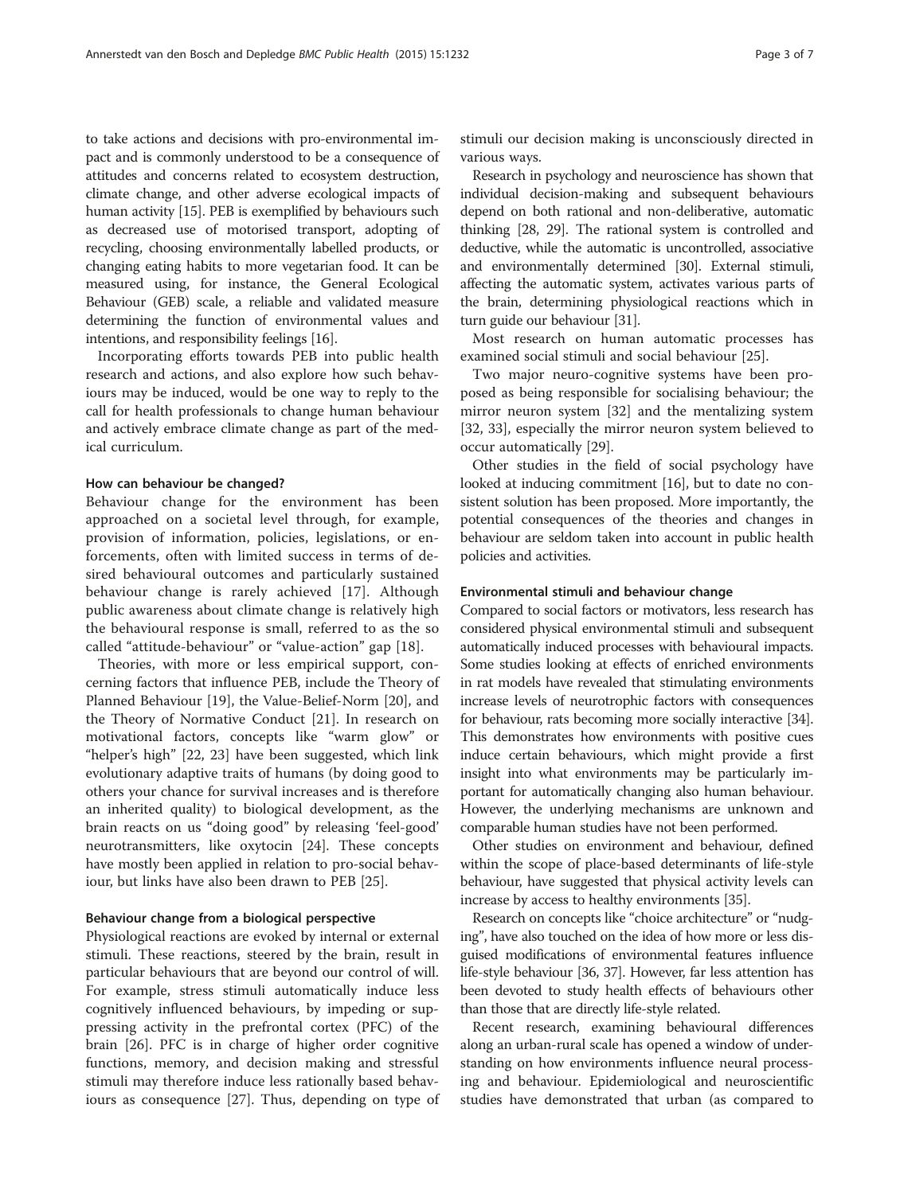to take actions and decisions with pro-environmental impact and is commonly understood to be a consequence of attitudes and concerns related to ecosystem destruction, climate change, and other adverse ecological impacts of human activity [\[15\]](#page-5-0). PEB is exemplified by behaviours such as decreased use of motorised transport, adopting of recycling, choosing environmentally labelled products, or changing eating habits to more vegetarian food. It can be measured using, for instance, the General Ecological Behaviour (GEB) scale, a reliable and validated measure determining the function of environmental values and intentions, and responsibility feelings [[16](#page-5-0)].

Incorporating efforts towards PEB into public health research and actions, and also explore how such behaviours may be induced, would be one way to reply to the call for health professionals to change human behaviour and actively embrace climate change as part of the medical curriculum.

# How can behaviour be changed?

Behaviour change for the environment has been approached on a societal level through, for example, provision of information, policies, legislations, or enforcements, often with limited success in terms of desired behavioural outcomes and particularly sustained behaviour change is rarely achieved [\[17](#page-5-0)]. Although public awareness about climate change is relatively high the behavioural response is small, referred to as the so called "attitude-behaviour" or "value-action" gap [\[18](#page-5-0)].

Theories, with more or less empirical support, concerning factors that influence PEB, include the Theory of Planned Behaviour [\[19\]](#page-5-0), the Value-Belief-Norm [\[20\]](#page-5-0), and the Theory of Normative Conduct [\[21](#page-5-0)]. In research on motivational factors, concepts like "warm glow" or "helper's high" [\[22](#page-5-0), [23\]](#page-6-0) have been suggested, which link evolutionary adaptive traits of humans (by doing good to others your chance for survival increases and is therefore an inherited quality) to biological development, as the brain reacts on us "doing good" by releasing 'feel-good' neurotransmitters, like oxytocin [[24\]](#page-6-0). These concepts have mostly been applied in relation to pro-social behaviour, but links have also been drawn to PEB [[25\]](#page-6-0).

#### Behaviour change from a biological perspective

Physiological reactions are evoked by internal or external stimuli. These reactions, steered by the brain, result in particular behaviours that are beyond our control of will. For example, stress stimuli automatically induce less cognitively influenced behaviours, by impeding or suppressing activity in the prefrontal cortex (PFC) of the brain [[26\]](#page-6-0). PFC is in charge of higher order cognitive functions, memory, and decision making and stressful stimuli may therefore induce less rationally based behaviours as consequence [\[27](#page-6-0)]. Thus, depending on type of stimuli our decision making is unconsciously directed in various ways.

Research in psychology and neuroscience has shown that individual decision-making and subsequent behaviours depend on both rational and non-deliberative, automatic thinking [\[28, 29](#page-6-0)]. The rational system is controlled and deductive, while the automatic is uncontrolled, associative and environmentally determined [[30](#page-6-0)]. External stimuli, affecting the automatic system, activates various parts of the brain, determining physiological reactions which in turn guide our behaviour [\[31\]](#page-6-0).

Most research on human automatic processes has examined social stimuli and social behaviour [[25\]](#page-6-0).

Two major neuro-cognitive systems have been proposed as being responsible for socialising behaviour; the mirror neuron system [[32\]](#page-6-0) and the mentalizing system [[32, 33\]](#page-6-0), especially the mirror neuron system believed to occur automatically [\[29](#page-6-0)].

Other studies in the field of social psychology have looked at inducing commitment [\[16\]](#page-5-0), but to date no consistent solution has been proposed. More importantly, the potential consequences of the theories and changes in behaviour are seldom taken into account in public health policies and activities.

# Environmental stimuli and behaviour change

Compared to social factors or motivators, less research has considered physical environmental stimuli and subsequent automatically induced processes with behavioural impacts. Some studies looking at effects of enriched environments in rat models have revealed that stimulating environments increase levels of neurotrophic factors with consequences for behaviour, rats becoming more socially interactive [\[34](#page-6-0)]. This demonstrates how environments with positive cues induce certain behaviours, which might provide a first insight into what environments may be particularly important for automatically changing also human behaviour. However, the underlying mechanisms are unknown and comparable human studies have not been performed.

Other studies on environment and behaviour, defined within the scope of place-based determinants of life-style behaviour, have suggested that physical activity levels can increase by access to healthy environments [\[35\]](#page-6-0).

Research on concepts like "choice architecture" or "nudging", have also touched on the idea of how more or less disguised modifications of environmental features influence life-style behaviour [\[36, 37](#page-6-0)]. However, far less attention has been devoted to study health effects of behaviours other than those that are directly life-style related.

Recent research, examining behavioural differences along an urban-rural scale has opened a window of understanding on how environments influence neural processing and behaviour. Epidemiological and neuroscientific studies have demonstrated that urban (as compared to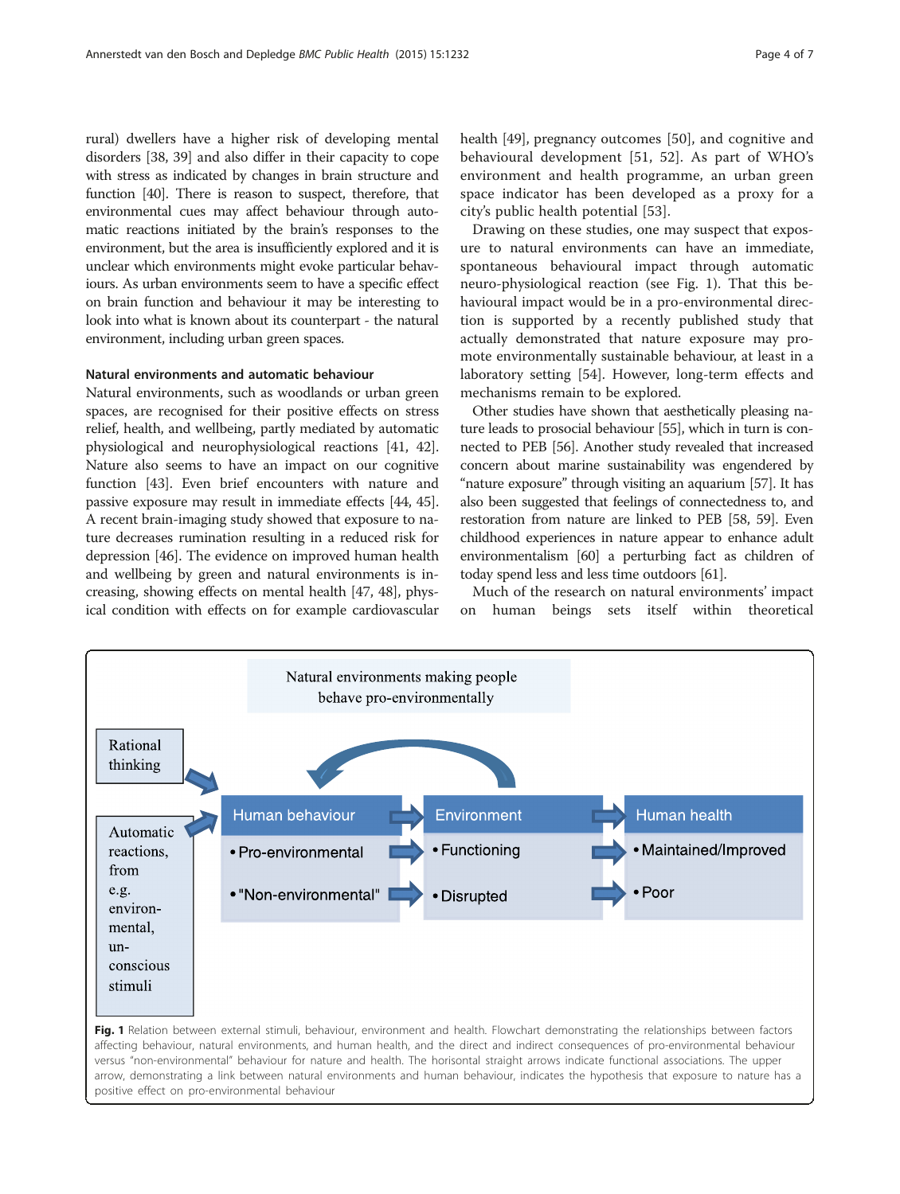rural) dwellers have a higher risk of developing mental disorders [[38](#page-6-0), [39](#page-6-0)] and also differ in their capacity to cope with stress as indicated by changes in brain structure and function [\[40\]](#page-6-0). There is reason to suspect, therefore, that environmental cues may affect behaviour through automatic reactions initiated by the brain's responses to the environment, but the area is insufficiently explored and it is unclear which environments might evoke particular behaviours. As urban environments seem to have a specific effect on brain function and behaviour it may be interesting to look into what is known about its counterpart - the natural environment, including urban green spaces.

# Natural environments and automatic behaviour

Natural environments, such as woodlands or urban green spaces, are recognised for their positive effects on stress relief, health, and wellbeing, partly mediated by automatic physiological and neurophysiological reactions [[41](#page-6-0), [42](#page-6-0)]. Nature also seems to have an impact on our cognitive function [\[43](#page-6-0)]. Even brief encounters with nature and passive exposure may result in immediate effects [[44](#page-6-0), [45](#page-6-0)]. A recent brain-imaging study showed that exposure to nature decreases rumination resulting in a reduced risk for depression [[46](#page-6-0)]. The evidence on improved human health and wellbeing by green and natural environments is increasing, showing effects on mental health [[47](#page-6-0), [48](#page-6-0)], physical condition with effects on for example cardiovascular health [[49](#page-6-0)], pregnancy outcomes [[50\]](#page-6-0), and cognitive and behavioural development [[51, 52\]](#page-6-0). As part of WHO's environment and health programme, an urban green space indicator has been developed as a proxy for a city's public health potential [\[53](#page-6-0)].

Drawing on these studies, one may suspect that exposure to natural environments can have an immediate, spontaneous behavioural impact through automatic neuro-physiological reaction (see Fig. 1). That this behavioural impact would be in a pro-environmental direction is supported by a recently published study that actually demonstrated that nature exposure may promote environmentally sustainable behaviour, at least in a laboratory setting [[54](#page-6-0)]. However, long-term effects and mechanisms remain to be explored.

Other studies have shown that aesthetically pleasing nature leads to prosocial behaviour [[55](#page-6-0)], which in turn is connected to PEB [\[56\]](#page-6-0). Another study revealed that increased concern about marine sustainability was engendered by "nature exposure" through visiting an aquarium [\[57\]](#page-6-0). It has also been suggested that feelings of connectedness to, and restoration from nature are linked to PEB [\[58, 59](#page-6-0)]. Even childhood experiences in nature appear to enhance adult environmentalism [[60](#page-6-0)] a perturbing fact as children of today spend less and less time outdoors [[61](#page-6-0)].

Much of the research on natural environments' impact on human beings sets itself within theoretical

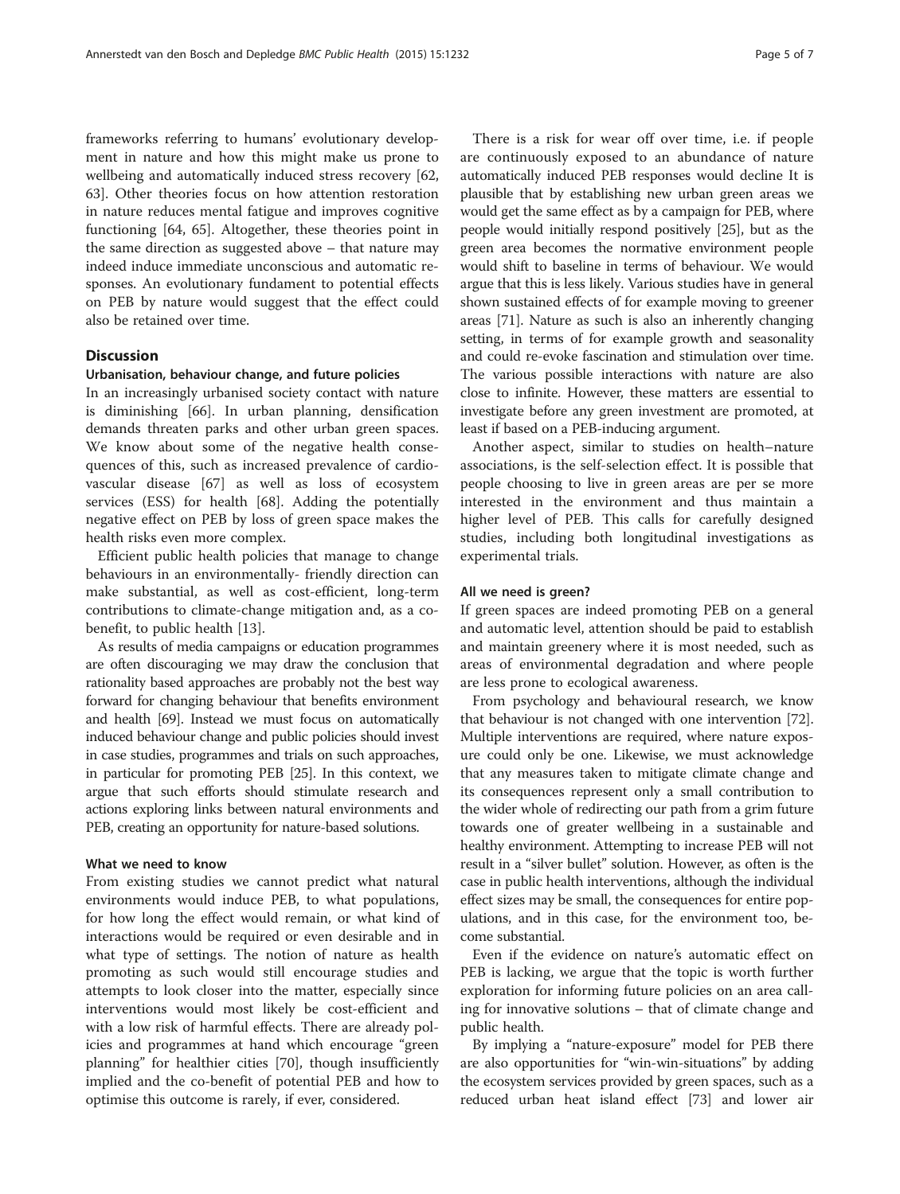frameworks referring to humans' evolutionary development in nature and how this might make us prone to wellbeing and automatically induced stress recovery [[62](#page-6-0), [63\]](#page-6-0). Other theories focus on how attention restoration in nature reduces mental fatigue and improves cognitive functioning [[64, 65\]](#page-6-0). Altogether, these theories point in the same direction as suggested above – that nature may indeed induce immediate unconscious and automatic responses. An evolutionary fundament to potential effects on PEB by nature would suggest that the effect could also be retained over time.

# **Discussion**

# Urbanisation, behaviour change, and future policies

In an increasingly urbanised society contact with nature is diminishing [\[66](#page-6-0)]. In urban planning, densification demands threaten parks and other urban green spaces. We know about some of the negative health consequences of this, such as increased prevalence of cardiovascular disease [\[67\]](#page-6-0) as well as loss of ecosystem services (ESS) for health [[68\]](#page-6-0). Adding the potentially negative effect on PEB by loss of green space makes the health risks even more complex.

Efficient public health policies that manage to change behaviours in an environmentally- friendly direction can make substantial, as well as cost-efficient, long-term contributions to climate-change mitigation and, as a cobenefit, to public health [\[13](#page-5-0)].

As results of media campaigns or education programmes are often discouraging we may draw the conclusion that rationality based approaches are probably not the best way forward for changing behaviour that benefits environment and health [\[69\]](#page-6-0). Instead we must focus on automatically induced behaviour change and public policies should invest in case studies, programmes and trials on such approaches, in particular for promoting PEB [[25](#page-6-0)]. In this context, we argue that such efforts should stimulate research and actions exploring links between natural environments and PEB, creating an opportunity for nature-based solutions.

# What we need to know

From existing studies we cannot predict what natural environments would induce PEB, to what populations, for how long the effect would remain, or what kind of interactions would be required or even desirable and in what type of settings. The notion of nature as health promoting as such would still encourage studies and attempts to look closer into the matter, especially since interventions would most likely be cost-efficient and with a low risk of harmful effects. There are already policies and programmes at hand which encourage "green planning" for healthier cities [\[70](#page-6-0)], though insufficiently implied and the co-benefit of potential PEB and how to optimise this outcome is rarely, if ever, considered.

There is a risk for wear off over time, i.e. if people are continuously exposed to an abundance of nature automatically induced PEB responses would decline It is plausible that by establishing new urban green areas we would get the same effect as by a campaign for PEB, where people would initially respond positively [[25](#page-6-0)], but as the green area becomes the normative environment people would shift to baseline in terms of behaviour. We would argue that this is less likely. Various studies have in general shown sustained effects of for example moving to greener areas [[71](#page-6-0)]. Nature as such is also an inherently changing setting, in terms of for example growth and seasonality and could re-evoke fascination and stimulation over time. The various possible interactions with nature are also close to infinite. However, these matters are essential to investigate before any green investment are promoted, at least if based on a PEB-inducing argument.

Another aspect, similar to studies on health–nature associations, is the self-selection effect. It is possible that people choosing to live in green areas are per se more interested in the environment and thus maintain a higher level of PEB. This calls for carefully designed studies, including both longitudinal investigations as experimental trials.

## All we need is green?

If green spaces are indeed promoting PEB on a general and automatic level, attention should be paid to establish and maintain greenery where it is most needed, such as areas of environmental degradation and where people are less prone to ecological awareness.

From psychology and behavioural research, we know that behaviour is not changed with one intervention [[72](#page-6-0)]. Multiple interventions are required, where nature exposure could only be one. Likewise, we must acknowledge that any measures taken to mitigate climate change and its consequences represent only a small contribution to the wider whole of redirecting our path from a grim future towards one of greater wellbeing in a sustainable and healthy environment. Attempting to increase PEB will not result in a "silver bullet" solution. However, as often is the case in public health interventions, although the individual effect sizes may be small, the consequences for entire populations, and in this case, for the environment too, become substantial.

Even if the evidence on nature's automatic effect on PEB is lacking, we argue that the topic is worth further exploration for informing future policies on an area calling for innovative solutions – that of climate change and public health.

By implying a "nature-exposure" model for PEB there are also opportunities for "win-win-situations" by adding the ecosystem services provided by green spaces, such as a reduced urban heat island effect [\[73](#page-6-0)] and lower air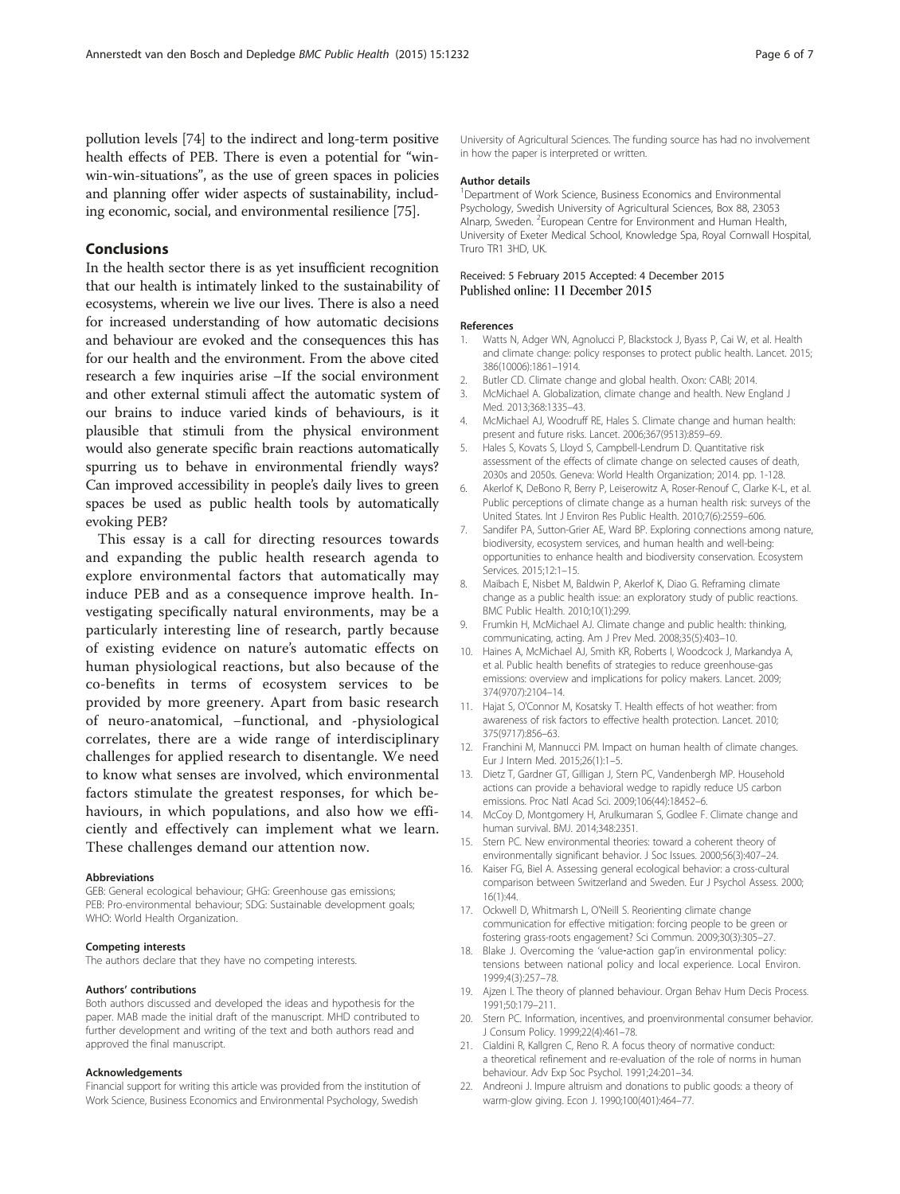<span id="page-5-0"></span>pollution levels [\[74](#page-6-0)] to the indirect and long-term positive health effects of PEB. There is even a potential for "winwin-win-situations", as the use of green spaces in policies and planning offer wider aspects of sustainability, including economic, social, and environmental resilience [\[75\]](#page-6-0).

# **Conclusions**

In the health sector there is as yet insufficient recognition that our health is intimately linked to the sustainability of ecosystems, wherein we live our lives. There is also a need for increased understanding of how automatic decisions and behaviour are evoked and the consequences this has for our health and the environment. From the above cited research a few inquiries arise –If the social environment and other external stimuli affect the automatic system of our brains to induce varied kinds of behaviours, is it plausible that stimuli from the physical environment would also generate specific brain reactions automatically spurring us to behave in environmental friendly ways? Can improved accessibility in people's daily lives to green spaces be used as public health tools by automatically evoking PEB?

This essay is a call for directing resources towards and expanding the public health research agenda to explore environmental factors that automatically may induce PEB and as a consequence improve health. Investigating specifically natural environments, may be a particularly interesting line of research, partly because of existing evidence on nature's automatic effects on human physiological reactions, but also because of the co-benefits in terms of ecosystem services to be provided by more greenery. Apart from basic research of neuro-anatomical, −functional, and -physiological correlates, there are a wide range of interdisciplinary challenges for applied research to disentangle. We need to know what senses are involved, which environmental factors stimulate the greatest responses, for which behaviours, in which populations, and also how we efficiently and effectively can implement what we learn. These challenges demand our attention now.

#### Abbreviations

GEB: General ecological behaviour; GHG: Greenhouse gas emissions; PEB: Pro-environmental behaviour; SDG: Sustainable development goals; WHO: World Health Organization.

# Competing interests

The authors declare that they have no competing interests.

#### Authors' contributions

Both authors discussed and developed the ideas and hypothesis for the paper. MAB made the initial draft of the manuscript. MHD contributed to further development and writing of the text and both authors read and approved the final manuscript.

#### Acknowledgements

Financial support for writing this article was provided from the institution of Work Science, Business Economics and Environmental Psychology, Swedish

University of Agricultural Sciences. The funding source has had no involvement in how the paper is interpreted or written.

#### Author details

<sup>1</sup>Department of Work Science, Business Economics and Environmental Psychology, Swedish University of Agricultural Sciences, Box 88, 23053 Alnarp, Sweden. <sup>2</sup> European Centre for Environment and Human Health, University of Exeter Medical School, Knowledge Spa, Royal Cornwall Hospital, Truro TR1 3HD, UK.

# Received: 5 February 2015 Accepted: 4 December 2015 Published online: 11 December 2015

#### References

- 1. Watts N, Adger WN, Agnolucci P, Blackstock J, Byass P, Cai W, et al. Health and climate change: policy responses to protect public health. Lancet. 2015; 386(10006):1861–1914.
- 2. Butler CD. Climate change and global health. Oxon: CABI; 2014.
- 3. McMichael A. Globalization, climate change and health. New England J Med. 2013;368:1335–43.
- 4. McMichael AJ, Woodruff RE, Hales S. Climate change and human health: present and future risks. Lancet. 2006;367(9513):859–69.
- 5. Hales S, Kovats S, Lloyd S, Campbell-Lendrum D. Quantitative risk assessment of the effects of climate change on selected causes of death, 2030s and 2050s. Geneva: World Health Organization; 2014. pp. 1-128.
- 6. Akerlof K, DeBono R, Berry P, Leiserowitz A, Roser-Renouf C, Clarke K-L, et al. Public perceptions of climate change as a human health risk: surveys of the United States. Int J Environ Res Public Health. 2010;7(6):2559–606.
- 7. Sandifer PA, Sutton-Grier AE, Ward BP. Exploring connections among nature, biodiversity, ecosystem services, and human health and well-being: opportunities to enhance health and biodiversity conservation. Ecosystem Services. 2015;12:1–15.
- 8. Maibach E, Nisbet M, Baldwin P, Akerlof K, Diao G. Reframing climate change as a public health issue: an exploratory study of public reactions. BMC Public Health. 2010;10(1):299.
- 9. Frumkin H, McMichael AJ. Climate change and public health: thinking, communicating, acting. Am J Prev Med. 2008;35(5):403–10.
- 10. Haines A, McMichael AJ, Smith KR, Roberts I, Woodcock J, Markandya A, et al. Public health benefits of strategies to reduce greenhouse-gas emissions: overview and implications for policy makers. Lancet. 2009; 374(9707):2104–14.
- 11. Hajat S, O'Connor M, Kosatsky T. Health effects of hot weather: from awareness of risk factors to effective health protection. Lancet. 2010; 375(9717):856–63.
- 12. Franchini M, Mannucci PM. Impact on human health of climate changes. Eur J Intern Med. 2015;26(1):1–5.
- 13. Dietz T, Gardner GT, Gilligan J, Stern PC, Vandenbergh MP. Household actions can provide a behavioral wedge to rapidly reduce US carbon emissions. Proc Natl Acad Sci. 2009;106(44):18452–6.
- 14. McCoy D, Montgomery H, Arulkumaran S, Godlee F. Climate change and human survival. BMJ. 2014;348:2351.
- 15. Stern PC. New environmental theories: toward a coherent theory of environmentally significant behavior. J Soc Issues. 2000;56(3):407–24.
- 16. Kaiser FG, Biel A. Assessing general ecological behavior: a cross-cultural comparison between Switzerland and Sweden. Eur J Psychol Assess. 2000; 16(1):44.
- 17. Ockwell D, Whitmarsh L, O'Neill S. Reorienting climate change communication for effective mitigation: forcing people to be green or fostering grass-roots engagement? Sci Commun. 2009;30(3):305–27.
- 18. Blake J. Overcoming the 'value-action gap'in environmental policy: tensions between national policy and local experience. Local Environ. 1999;4(3):257–78.
- 19. Ajzen I. The theory of planned behaviour. Organ Behav Hum Decis Process. 1991;50:179–211.
- 20. Stern PC. Information, incentives, and proenvironmental consumer behavior. J Consum Policy. 1999;22(4):461–78.
- 21. Cialdini R, Kallgren C, Reno R. A focus theory of normative conduct: a theoretical refinement and re-evaluation of the role of norms in human behaviour. Adv Exp Soc Psychol. 1991;24:201–34.
- 22. Andreoni J. Impure altruism and donations to public goods: a theory of warm-glow giving. Econ J. 1990;100(401):464–77.